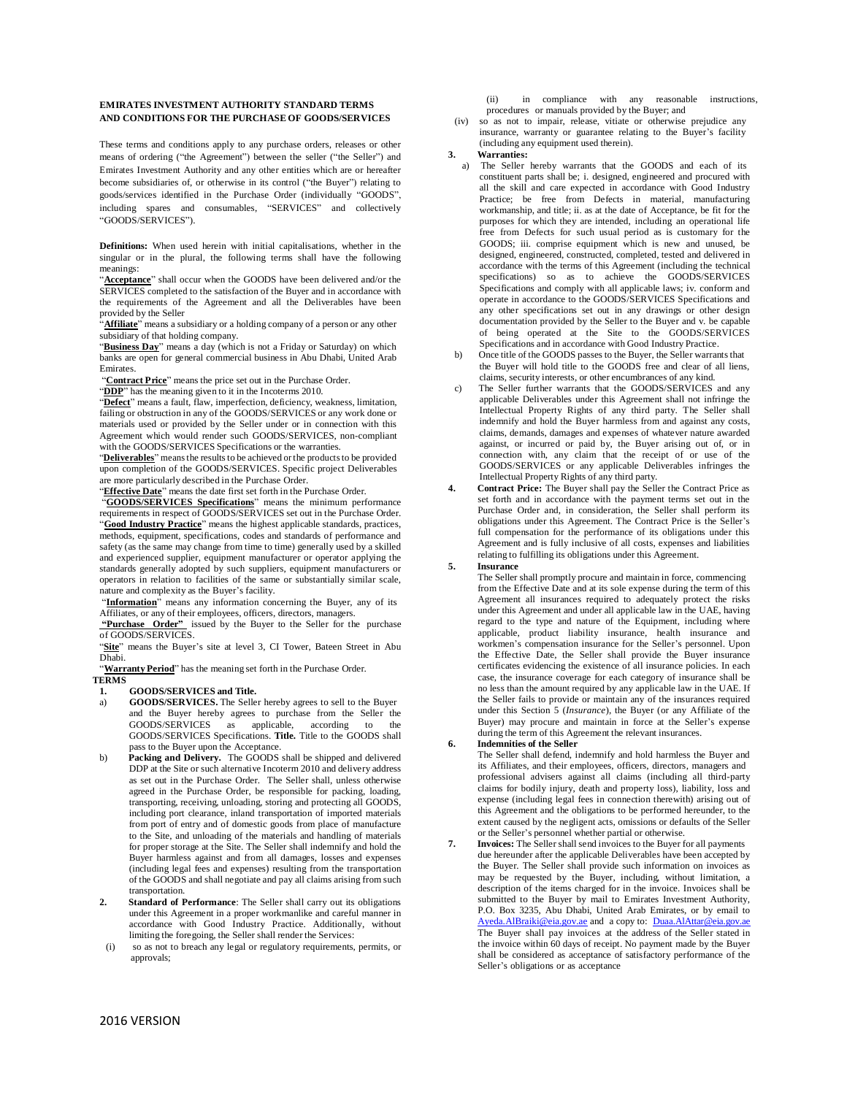# **EMIRATES INVESTMENT AUTHORITY STANDARD TERMS AND CONDITIONS FOR THE PURCHASE OF GOODS/SERVICES**

These terms and conditions apply to any purchase orders, releases or other means of ordering ("the Agreement") between the seller ("the Seller") and Emirates Investment Authority and any other entities which are or hereafter become subsidiaries of, or otherwise in its control ("the Buyer") relating to goods/services identified in the Purchase Order (individually "GOODS", including spares and consumables, "SERVICES" and collectively "GOODS/SERVICES").

**Definitions:** When used herein with initial capitalisations, whether in the singular or in the plural, the following terms shall have the following meanings:

"**Acceptance**" shall occur when the GOODS have been delivered and/or the SERVICES completed to the satisfaction of the Buyer and in accordance with the requirements of the Agreement and all the Deliverables have been provided by the Seller

"**Affiliate**" means a subsidiary or a holding company of a person or any other subsidiary of that holding company.

"**Business Day**" means a day (which is not a Friday or Saturday) on which banks are open for general commercial business in Abu Dhabi, United Arab Emirates.

"**Contract Price**" means the price set out in the Purchase Order.

"**DDP**" has the meaning given to it in the Incoterms 2010.

"**Defect**" means a fault, flaw, imperfection, deficiency, weakness, limitation, failing or obstruction in any of the GOODS/SERVICES or any work done or materials used or provided by the Seller under or in connection with this Agreement which would render such GOODS/SERVICES, non-compliant with the GOODS/SERVICES Specifications or the warranties.

"Deliverables" means the results to be achieved or the products to be provided upon completion of the GOODS/SERVICES. Specific project Deliverables are more particularly described in the Purchase Order.

"**Effective Date**" means the date first set forth in the Purchase Order.

"**GOODS/SERVICES Specifications**" means the minimum performance requirements in respect of GOODS/SERVICES set out in the Purchase Order. "**Good Industry Practice**" means the highest applicable standards, practices, methods, equipment, specifications, codes and standards of performance and safety (as the same may change from time to time) generally used by a skilled and experienced supplier, equipment manufacturer or operator applying the standards generally adopted by such suppliers, equipment manufacturers or operators in relation to facilities of the same or substantially similar scale, nature and complexity as the Buyer's facility.

"Information" means any information concerning the Buyer, any of its Affiliates, or any of their employees, officers, directors, managers.

**"Purchase Order"** issued by the Buyer to the Seller for the purchase of GOODS/SERVICES.

"**Site**" means the Buyer's site at level 3, CI Tower, Bateen Street in Abu Dhabi.

"**Warranty Period**" has the meaning set forth in the Purchase Order.

**TERMS**

**1. GOODS/SERVICES and Title.**

- a) **GOODS/SERVICES.** The Seller hereby agrees to sell to the Buyer and the Buyer hereby agrees to purchase from the Seller the GOODS/SERVICES as applicable, according to the GOODS/SERVICES Specifications. **Title.** Title to the GOODS shall pass to the Buyer upon the Acceptance.
- b) **Packing and Delivery.** The GOODS shall be shipped and delivered DDP at the Site or such alternative Incoterm 2010 and delivery address as set out in the Purchase Order. The Seller shall, unless otherwise agreed in the Purchase Order, be responsible for packing, loading, transporting, receiving, unloading, storing and protecting all GOODS, including port clearance, inland transportation of imported materials from port of entry and of domestic goods from place of manufacture to the Site, and unloading of the materials and handling of materials for proper storage at the Site. The Seller shall indemnify and hold the Buyer harmless against and from all damages, losses and expenses (including legal fees and expenses) resulting from the transportation of the GOODS and shall negotiate and pay all claims arising from such transportation.
- **2. Standard of Performance**: The Seller shall carry out its obligations under this Agreement in a proper workmanlike and careful manner in accordance with Good Industry Practice. Additionally, without limiting the foregoing, the Seller shall render the Services:
- (i) so as not to breach any legal or regulatory requirements, permits, or approvals;

(ii) in compliance with any reasonable instructions,

procedures or manuals provided by the Buyer; and (iv) so as not to impair, release, vitiate or otherwise prejudice any insurance, warranty or guarantee relating to the Buyer's facility (including any equipment used therein).

**3. Warranties:**

- a) The Seller hereby warrants that the GOODS and each of its constituent parts shall be; i. designed, engineered and procured with all the skill and care expected in accordance with Good Industry Practice; be free from Defects in material, manufacturing workmanship, and title; ii. as at the date of Acceptance, be fit for the purposes for which they are intended, including an operational life free from Defects for such usual period as is customary for the GOODS; iii. comprise equipment which is new and unused, be designed, engineered, constructed, completed, tested and delivered in accordance with the terms of this Agreement (including the technical specifications) so as to achieve the GOODS/SERVICES Specifications and comply with all applicable laws; iv. conform and operate in accordance to the GOODS/SERVICES Specifications and any other specifications set out in any drawings or other design documentation provided by the Seller to the Buyer and v. be capable of being operated at the Site to the GOODS/SERVICES Specifications and in accordance with Good Industry Practice.
- b) Once title of the GOODS passes to the Buyer, the Seller warrants that the Buyer will hold title to the GOODS free and clear of all liens, claims, security interests, or other encumbrances of any kind.
- c) The Seller further warrants that the GOODS/SERVICES and any applicable Deliverables under this Agreement shall not infringe the Intellectual Property Rights of any third party. The Seller shall indemnify and hold the Buyer harmless from and against any costs, claims, demands, damages and expenses of whatever nature awarded against, or incurred or paid by, the Buyer arising out of, or in connection with, any claim that the receipt of or use of the GOODS/SERVICES or any applicable Deliverables infringes the Intellectual Property Rights of any third party.
- **4. Contract Price:** The Buyer shall pay the Seller the Contract Price as set forth and in accordance with the payment terms set out in the Purchase Order and, in consideration, the Seller shall perform its obligations under this Agreement. The Contract Price is the Seller's full compensation for the performance of its obligations under this Agreement and is fully inclusive of all costs, expenses and liabilities relating to fulfilling its obligations under this Agreement.

### **5. Insurance**

The Seller shall promptly procure and maintain in force, commencing from the Effective Date and at its sole expense during the term of this Agreement all insurances required to adequately protect the risks under this Agreement and under all applicable law in the UAE, having regard to the type and nature of the Equipment, including where applicable, product liability insurance, health insurance and workmen's compensation insurance for the Seller's personnel. Upon the Effective Date, the Seller shall provide the Buyer insurance certificates evidencing the existence of all insurance policies. In each case, the insurance coverage for each category of insurance shall be no less than the amount required by any applicable law in the UAE. If the Seller fails to provide or maintain any of the insurances required under this Section 5 (*Insurance*), the Buyer (or any Affiliate of the Buyer) may procure and maintain in force at the Seller's expense during the term of this Agreement the relevant insurances.

# **6. Indemnities of the Seller**

The Seller shall defend, indemnify and hold harmless the Buyer and its Affiliates, and their employees, officers, directors, managers and professional advisers against all claims (including all third-party claims for bodily injury, death and property loss), liability, loss and expense (including legal fees in connection therewith) arising out of this Agreement and the obligations to be performed hereunder, to the extent caused by the negligent acts, omissions or defaults of the Seller or the Seller's personnel whether partial or otherwise.

**7. Invoices:** The Seller shall send invoices to the Buyer for all payments due hereunder after the applicable Deliverables have been accepted by the Buyer. The Seller shall provide such information on invoices as may be requested by the Buyer, including, without limitation, a description of the items charged for in the invoice. Invoices shall be submitted to the Buyer by mail to Emirates Investment Authority, P.O. Box 3235, Abu Dhabi, United Arab Emirates, or by email to [Ayeda.AlBraiki@eia.gov.ae](mailto:Ayeda.AlBraiki@eia.gov.ae) and a copy to: [Duaa.AlAttar@eia.gov.ae](mailto:%20a%20copy%20to:%20Duaa.AlAttar@eia.gov.ae) The Buyer shall pay invoices at the address of the Seller stated in the invoice within 60 days of receipt. No payment made by the Buyer shall be considered as acceptance of satisfactory performance of the Seller's obligations or as acceptance